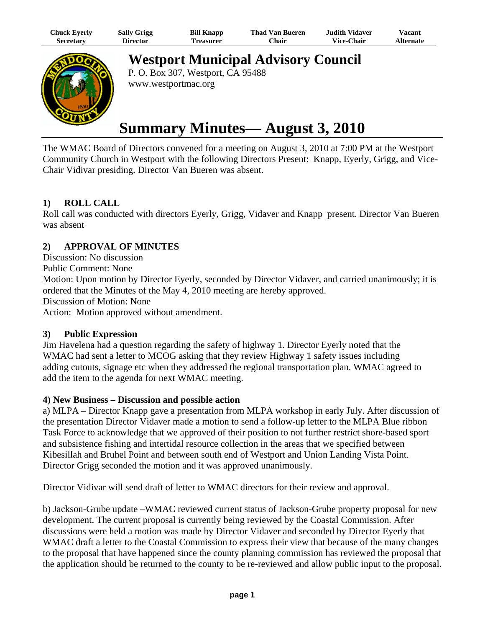| Chuck Eyerly | <b>Sally Grigg</b> | <b>Bill Knapp</b> | <b>Thad Van Bueren</b> | Judith Vidaver.   | $\mathrm{V}$ acant |
|--------------|--------------------|-------------------|------------------------|-------------------|--------------------|
| Secretary    | Director           | l reasurer        | <b>Chair</b>           | <b>Vice-Chair</b> | <b>Alternate</b>   |



**Westport Municipal Advisory Council**

P. O. Box 307, Westport, CA 95488 www.westportmac.org

# **Summary Minutes— August 3, 2010**

The WMAC Board of Directors convened for a meeting on August 3, 2010 at 7:00 PM at the Westport Community Church in Westport with the following Directors Present: Knapp, Eyerly, Grigg, and Vice-Chair Vidivar presiding. Director Van Bueren was absent.

## **1) ROLL CALL**

Roll call was conducted with directors Eyerly, Grigg, Vidaver and Knapp present. Director Van Bueren was absent

## **2) APPROVAL OF MINUTES**

Discussion: No discussion Public Comment: None Motion: Upon motion by Director Eyerly, seconded by Director Vidaver, and carried unanimously; it is ordered that the Minutes of the May 4, 2010 meeting are hereby approved. Discussion of Motion: None Action: Motion approved without amendment.

#### **3) Public Expression**

Jim Havelena had a question regarding the safety of highway 1. Director Eyerly noted that the WMAC had sent a letter to MCOG asking that they review Highway 1 safety issues including adding cutouts, signage etc when they addressed the regional transportation plan. WMAC agreed to add the item to the agenda for next WMAC meeting.

## **4) New Business – Discussion and possible action**

a) MLPA – Director Knapp gave a presentation from MLPA workshop in early July. After discussion of the presentation Director Vidaver made a motion to send a follow-up letter to the MLPA Blue ribbon Task Force to acknowledge that we approved of their position to not further restrict shore-based sport and subsistence fishing and intertidal resource collection in the areas that we specified between Kibesillah and Bruhel Point and between south end of Westport and Union Landing Vista Point. Director Grigg seconded the motion and it was approved unanimously.

Director Vidivar will send draft of letter to WMAC directors for their review and approval.

b) Jackson-Grube update –WMAC reviewed current status of Jackson-Grube property proposal for new development. The current proposal is currently being reviewed by the Coastal Commission. After discussions were held a motion was made by Director Vidaver and seconded by Director Eyerly that WMAC draft a letter to the Coastal Commission to express their view that because of the many changes to the proposal that have happened since the county planning commission has reviewed the proposal that the application should be returned to the county to be re-reviewed and allow public input to the proposal.